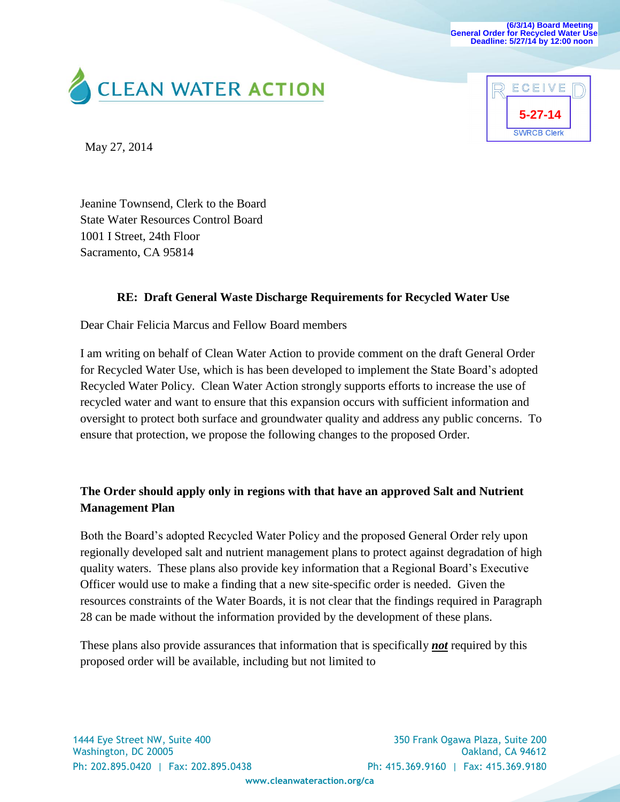**(6/3/14) Board Meeting General Order for Recycled Water Use Deadline: 5/27/14 by 12:00 noon** 





May 27, 2014

Jeanine Townsend, Clerk to the Board State Water Resources Control Board 1001 I Street, 24th Floor Sacramento, CA 95814

## **RE: Draft General Waste Discharge Requirements for Recycled Water Use**

Dear Chair Felicia Marcus and Fellow Board members

I am writing on behalf of Clean Water Action to provide comment on the draft General Order for Recycled Water Use, which is has been developed to implement the State Board's adopted Recycled Water Policy. Clean Water Action strongly supports efforts to increase the use of recycled water and want to ensure that this expansion occurs with sufficient information and oversight to protect both surface and groundwater quality and address any public concerns. To ensure that protection, we propose the following changes to the proposed Order.

## **The Order should apply only in regions with that have an approved Salt and Nutrient Management Plan**

Both the Board's adopted Recycled Water Policy and the proposed General Order rely upon regionally developed salt and nutrient management plans to protect against degradation of high quality waters. These plans also provide key information that a Regional Board's Executive Officer would use to make a finding that a new site-specific order is needed. Given the resources constraints of the Water Boards, it is not clear that the findings required in Paragraph 28 can be made without the information provided by the development of these plans.

These plans also provide assurances that information that is specifically *not* required by this proposed order will be available, including but not limited to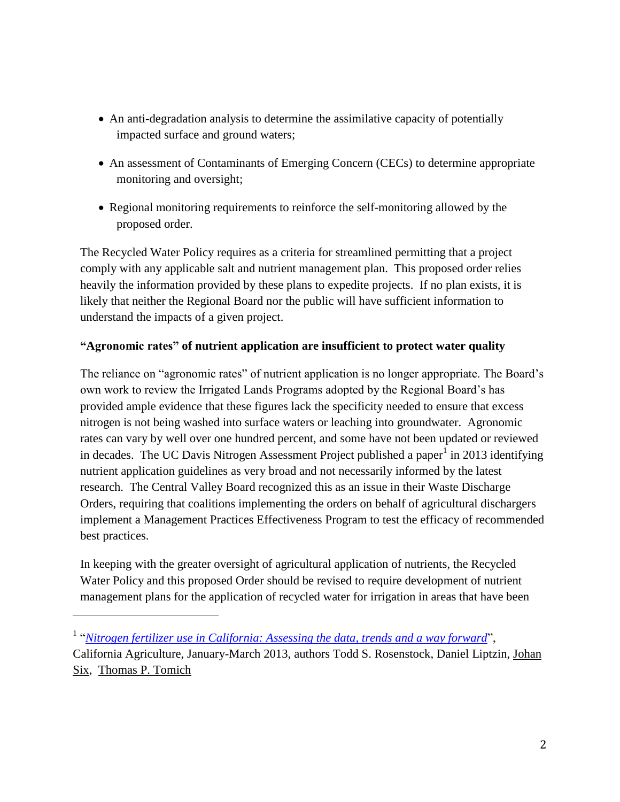- An anti-degradation analysis to determine the assimilative capacity of potentially impacted surface and ground waters;
- An assessment of Contaminants of Emerging Concern (CECs) to determine appropriate monitoring and oversight;
- Regional monitoring requirements to reinforce the self-monitoring allowed by the proposed order.

The Recycled Water Policy requires as a criteria for streamlined permitting that a project comply with any applicable salt and nutrient management plan. This proposed order relies heavily the information provided by these plans to expedite projects. If no plan exists, it is likely that neither the Regional Board nor the public will have sufficient information to understand the impacts of a given project.

## **"Agronomic rates" of nutrient application are insufficient to protect water quality**

The reliance on "agronomic rates" of nutrient application is no longer appropriate. The Board's own work to review the Irrigated Lands Programs adopted by the Regional Board's has provided ample evidence that these figures lack the specificity needed to ensure that excess nitrogen is not being washed into surface waters or leaching into groundwater. Agronomic rates can vary by well over one hundred percent, and some have not been updated or reviewed in decades. The UC Davis Nitrogen Assessment Project published a paper<sup>1</sup> in 2013 identifying nutrient application guidelines as very broad and not necessarily informed by the latest research. The Central Valley Board recognized this as an issue in their Waste Discharge Orders, requiring that coalitions implementing the orders on behalf of agricultural dischargers implement a Management Practices Effectiveness Program to test the efficacy of recommended best practices.

In keeping with the greater oversight of agricultural application of nutrients, the Recycled Water Policy and this proposed Order should be revised to require development of nutrient management plans for the application of recycled water for irrigation in areas that have been

l

<sup>&</sup>lt;sup>1</sup> "[Nitrogen fertilizer use in California: Assessing the data, trends and a way forward](http://californiaagriculture.ucanr.edu/landingpage.cfm?article=ca.E.v067n01p68&fulltext=yes)", California Agriculture, January-March 2013, authors Todd S. Rosenstock, Daniel Liptzin, [Johan](http://ucanr.edu/Find_People/?facultyid=2863)  [Six,](http://ucanr.edu/Find_People/?facultyid=2863) [Thomas P. Tomich](http://ucanr.edu/Find_People/?facultyid=2972)